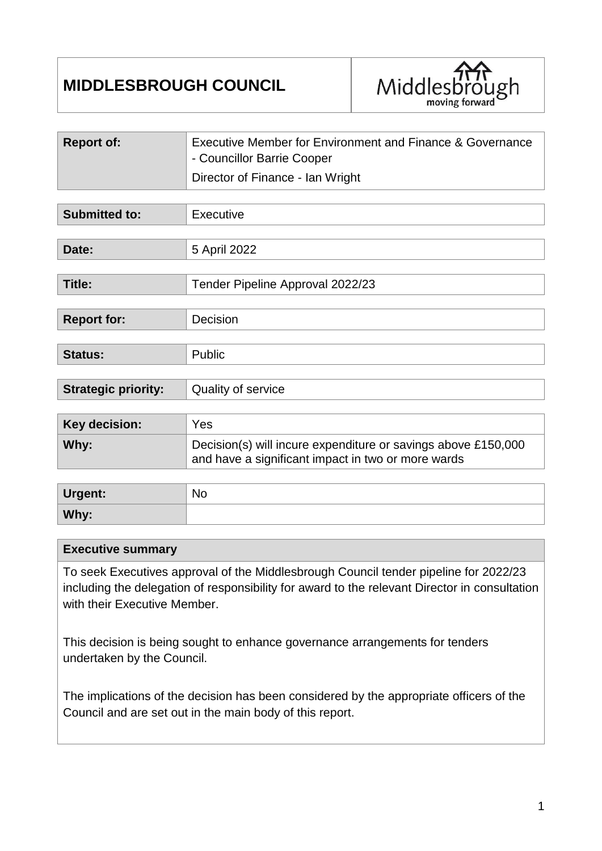# **MIDDLESBROUGH COUNCIL**



| <b>Report of:</b> | Executive Member for Environment and Finance & Governance |
|-------------------|-----------------------------------------------------------|
|                   | - Councillor Barrie Cooper                                |
|                   | Director of Finance - Ian Wright                          |

| <b>Submitted to:</b>       | Executive                                                                                                           |
|----------------------------|---------------------------------------------------------------------------------------------------------------------|
|                            |                                                                                                                     |
| Date:                      | 5 April 2022                                                                                                        |
|                            |                                                                                                                     |
| Title:                     | Tender Pipeline Approval 2022/23                                                                                    |
|                            |                                                                                                                     |
| <b>Report for:</b>         | Decision                                                                                                            |
|                            |                                                                                                                     |
| <b>Status:</b>             | Public                                                                                                              |
|                            |                                                                                                                     |
| <b>Strategic priority:</b> | Quality of service                                                                                                  |
|                            |                                                                                                                     |
| <b>Key decision:</b>       | Yes                                                                                                                 |
| Why:                       | Decision(s) will incure expenditure or savings above £150,000<br>and have a significant impact in two or more wards |
|                            |                                                                                                                     |
| $\blacksquare$             | $N_{\rm A}$                                                                                                         |

| Urgent: | <b>NO</b> |
|---------|-----------|
| Why:    |           |

### **Executive summary**

To seek Executives approval of the Middlesbrough Council tender pipeline for 2022/23 including the delegation of responsibility for award to the relevant Director in consultation with their Executive Member.

This decision is being sought to enhance governance arrangements for tenders undertaken by the Council.

The implications of the decision has been considered by the appropriate officers of the Council and are set out in the main body of this report.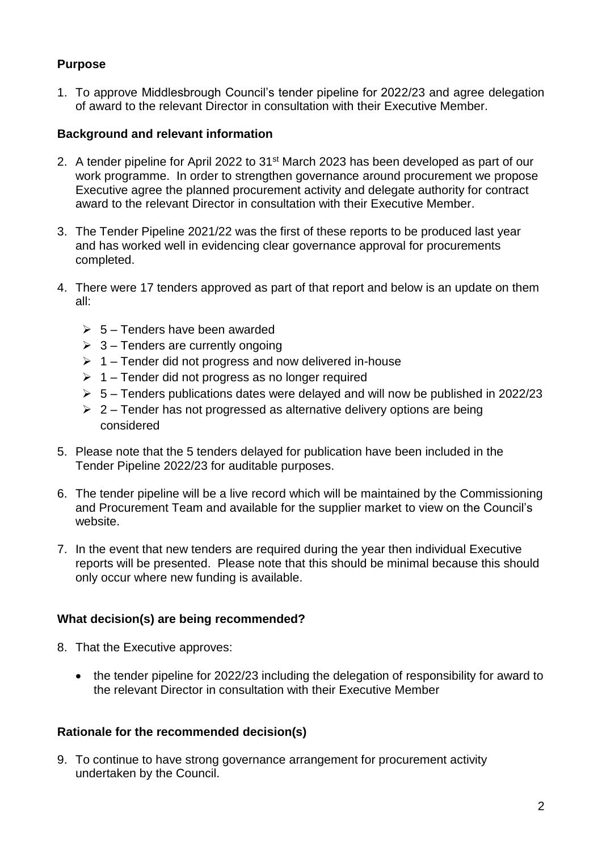# **Purpose**

1. To approve Middlesbrough Council's tender pipeline for 2022/23 and agree delegation of award to the relevant Director in consultation with their Executive Member.

## **Background and relevant information**

- 2. A tender pipeline for April 2022 to 31<sup>st</sup> March 2023 has been developed as part of our work programme. In order to strengthen governance around procurement we propose Executive agree the planned procurement activity and delegate authority for contract award to the relevant Director in consultation with their Executive Member.
- 3. The Tender Pipeline 2021/22 was the first of these reports to be produced last year and has worked well in evidencing clear governance approval for procurements completed.
- 4. There were 17 tenders approved as part of that report and below is an update on them all:
	- $\geq 5$  Tenders have been awarded
	- $\geq 3$  Tenders are currently ongoing
	- $\geq 1$  Tender did not progress and now delivered in-house
	- $\geq 1$  Tender did not progress as no longer required
	- $\geq 5$  Tenders publications dates were delayed and will now be published in 2022/23
	- $\geq 2$  Tender has not progressed as alternative delivery options are being considered
- 5. Please note that the 5 tenders delayed for publication have been included in the Tender Pipeline 2022/23 for auditable purposes.
- 6. The tender pipeline will be a live record which will be maintained by the Commissioning and Procurement Team and available for the supplier market to view on the Council's website.
- 7. In the event that new tenders are required during the year then individual Executive reports will be presented. Please note that this should be minimal because this should only occur where new funding is available.

## **What decision(s) are being recommended?**

- 8. That the Executive approves:
	- the tender pipeline for 2022/23 including the delegation of responsibility for award to the relevant Director in consultation with their Executive Member

### **Rationale for the recommended decision(s)**

9. To continue to have strong governance arrangement for procurement activity undertaken by the Council.